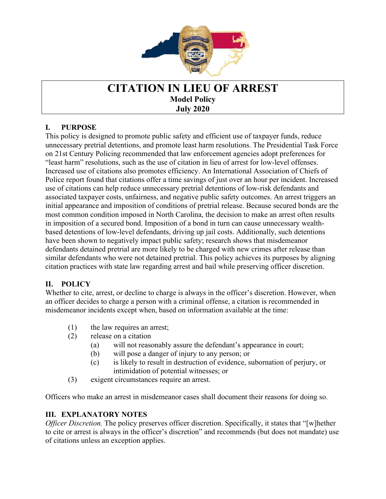

## **CITATION IN LIEU OF ARREST Model Policy July 2020**

## **I. PURPOSE**

 $\overline{a}$ 

This policy is designed to promote public safety and efficient use of taxpayer funds, reduce unnecessary pretrial detentions, and promote least harm resolutions. The Presidential Task Force on 21st Century Policing recommended that law enforcement agencies adopt preferences for "least harm" resolutions, such as the use of citation in lieu of arrest for low-level offenses. Increased use of citations also promotes efficiency. An International Association of Chiefs of Police report found that citations offer a time savings of just over an hour per incident. Increased use of citations can help reduce unnecessary pretrial detentions of low-risk defendants and associated taxpayer costs, unfairness, and negative public safety outcomes. An arrest triggers an initial appearance and imposition of conditions of pretrial release. Because secured bonds are the most common condition imposed in North Carolina, the decision to make an arrest often results in imposition of a secured bond. Imposition of a bond in turn can cause unnecessary wealthbased detentions of low-level defendants, driving up jail costs. Additionally, such detentions have been shown to negatively impact public safety; research shows that misdemeanor defendants detained pretrial are more likely to be charged with new crimes after release than similar defendants who were not detained pretrial. This policy achieves its purposes by aligning citation practices with state law regarding arrest and bail while preserving officer discretion.

## **II. POLICY**

Whether to cite, arrest, or decline to charge is always in the officer's discretion. However, when an officer decides to charge a person with a criminal offense, a citation is recommended in misdemeanor incidents except when, based on information available at the time:

- (1) the law requires an arrest;
- (2) release on a citation
	- (a) will not reasonably assure the defendant's appearance in court;
	- (b) will pose a danger of injury to any person; or
	- (c) is likely to result in destruction of evidence, subornation of perjury, or intimidation of potential witnesses; or
- (3) exigent circumstances require an arrest.

Officers who make an arrest in misdemeanor cases shall document their reasons for doing so.

## **III. EXPLANATORY NOTES**

*Officer Discretion.* The policy preserves officer discretion. Specifically, it states that "[w]hether to cite or arrest is always in the officer's discretion" and recommends (but does not mandate) use of citations unless an exception applies.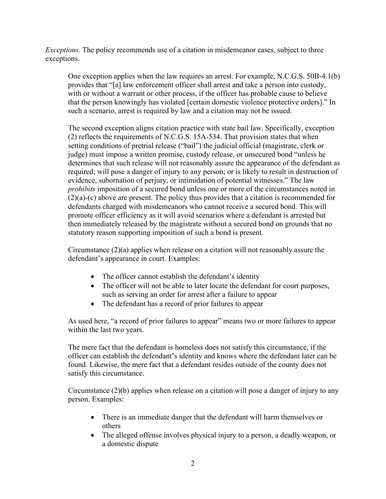*Exceptions.* The policy recommends use of a citation in misdemeanor cases, subject to three exceptions.

One exception applies when the law requires an arrest. For example, N.C.G.S. 50B-4.1(b) provides that "[a] law enforcement officer shall arrest and take a person into custody, with or without a warrant or other process, if the officer has probable cause to believe that the person knowingly has violated [certain domestic violence protective orders]." In such a scenario, arrest is required by law and a citation may not be issued.

The second exception aligns citation practice with state bail law. Specifically, exception (2) reflects the requirements of N.C.G.S. 15A-534. That provision states that when setting conditions of pretrial release ("bail") the judicial official (magistrate, clerk or judge) must impose a written promise, custody release, or unsecured bond "unless he determines that such release will not reasonably assure the appearance of the defendant as required; will pose a danger of injury to any person; or is likely to result in destruction of evidence, subornation of perjury, or intimidation of potential witnesses." The law *prohibits* imposition of a secured bond unless one or more of the circumstances noted in (2)(a)-(c) above are present. The policy thus provides that a citation is recommended for defendants charged with misdemeanors who cannot receive a secured bond. This will promote officer efficiency as it will avoid scenarios where a defendant is arrested but then immediately released by the magistrate without a secured bond on grounds that no statutory reason supporting imposition of such a bond is present.

Circumstance  $(2)(a)$  applies when release on a citation will not reasonably assure the defendant's appearance in court. Examples:

- The officer cannot establish the defendant's identity
- The officer will not be able to later locate the defendant for court purposes, such as serving an order for arrest after a failure to appear
- The defendant has a record of prior failures to appear

As used here, "a record of prior failures to appear" means two or more failures to appear within the last two years.

The mere fact that the defendant is homeless does not satisfy this circumstance, if the officer can establish the defendant's identity and knows where the defendant later can be found. Likewise, the mere fact that a defendant resides outside of the county does not satisfy this circumstance.

Circumstance (2)(b) applies when release on a citation will pose a danger of injury to any person. Examples:

- There is an immediate danger that the defendant will harm themselves or others
- The alleged offense involves physical injury to a person, a deadly weapon, or a domestic dispute